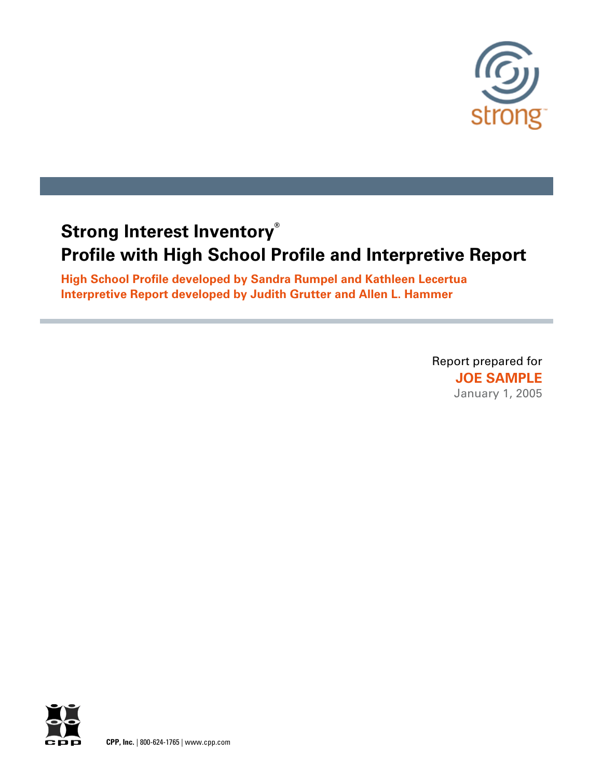

# **Strong Interest Inventory® Profile with High School Profile and Interpretive Report**

**High School Profile developed by Sandra Rumpel and Kathleen Lecertua Interpretive Report developed by Judith Grutter and Allen L. Hammer**

> Report prepared for **JOE SAMPLE** January 1, 2005

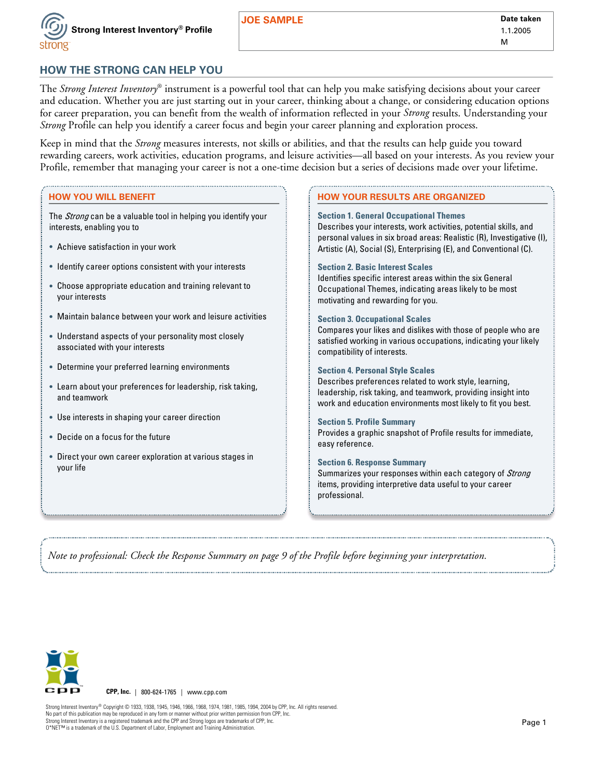

## **HOW THE STRONG CAN HELP YOU**

The *Strong Interest Inventory*® instrument is a powerful tool that can help you make satisfying decisions about your career and education. Whether you are just starting out in your career, thinking about a change, or considering education options for career preparation, you can benefit from the wealth of information reflected in your *Strong* results. Understanding your *Strong* Profile can help you identify a career focus and begin your career planning and exploration process.

Keep in mind that the *Strong* measures interests, not skills or abilities, and that the results can help guide you toward rewarding careers, work activities, education programs, and leisure activities—all based on your interests. As you review your Profile, remember that managing your career is not a one-time decision but a series of decisions made over your lifetime.

#### **HOW YOU WILL BENEFIT**

The *Strong* can be a valuable tool in helping you identify your interests, enabling you to

- **·** Achieve satisfaction in your work
- **·** Identify career options consistent with your interests
- **·** Choose appropriate education and training relevant to your interests
- **·** Maintain balance between your work and leisure activities
- **·** Understand aspects of your personality most closely associated with your interests
- **·** Determine your preferred learning environments
- **·** Learn about your preferences for leadership, risk taking, and teamwork
- **·** Use interests in shaping your career direction
- **·** Decide on a focus for the future
- **·** Direct your own career exploration at various stages in your life

#### **HOW YOUR RESULTS ARE ORGANIZED**

#### **Section 1. General Occupational Themes**

Describes your interests, work activities, potential skills, and personal values in six broad areas: Realistic (R), Investigative (I), Artistic (A), Social (S), Enterprising (E), and Conventional (C).

#### **Section 2. Basic Interest Scales**

Identifies specific interest areas within the six General Occupational Themes, indicating areas likely to be most motivating and rewarding for you.

#### **Section 3. Occupational Scales**

Compares your likes and dislikes with those of people who are satisfied working in various occupations, indicating your likely compatibility of interests.

#### **Section 4. Personal Style Scales**

Describes preferences related to work style, learning, leadership, risk taking, and teamwork, providing insight into work and education environments most likely to fit you best.

#### **Section 5. Profile Summary**

Provides a graphic snapshot of Profile results for immediate, easy reference.

#### **Section 6. Response Summary**

Summarizes your responses within each category of Strong items, providing interpretive data useful to your career professional.

*Note to professional: Check the Response Summary on page 9 of the Profile before beginning your interpretation.*



**CPP, Inc.** | 800-624-1765 | www.cpp.com

Strong Interest Inventory® Copyright © 1933, 1938, 1945, 1946, 1966, 1968, 1974, 1981, 1985, 1994, 2004 by CPP, Inc. All rights reserved. No part of this publication may be reproduced in any form or manner without prior written permission from CPP, Inc. Strong Interest Inventory is a registered trademark and the CPP and Strong logos are trademarks of CPP, Inc. Strong Interest Inventory is a registered trademark and the CPP and Strong logos are trademarks of CPP, Inc.<br>O\*NET™ is a trademark of the U.S. Department of Labor, Employment and Training Administration.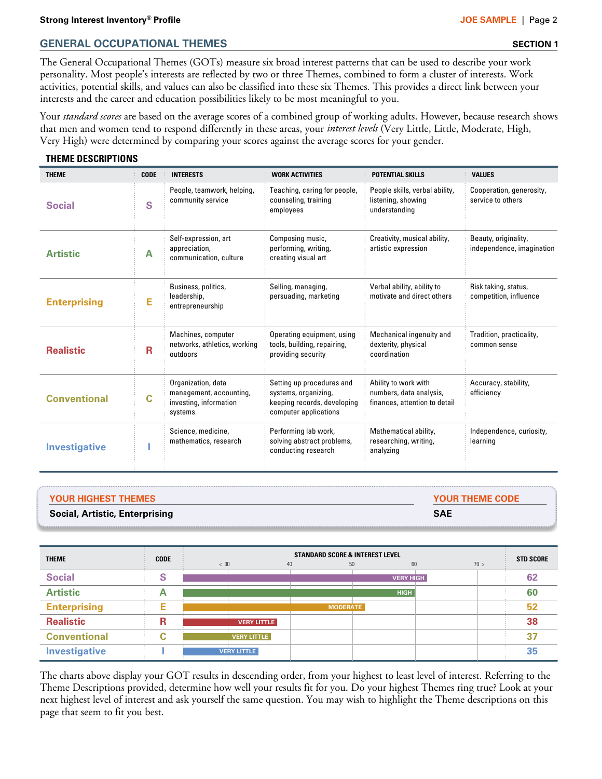#### **Strong Interest Inventory® Profile JOE SAMPLE |** Page 2

## **GENERAL OCCUPATIONAL THEMES SECTION 1**

The General Occupational Themes (GOTs) measure six broad interest patterns that can be used to describe your work personality. Most people's interests are reflected by two or three Themes, combined to form a cluster of interests. Work activities, potential skills, and values can also be classified into these six Themes. This provides a direct link between your interests and the career and education possibilities likely to be most meaningful to you.

Your *standard scores* are based on the average scores of a combined group of working adults. However, because research shows that men and women tend to respond differently in these areas, your *interest levels* (Very Little, Little, Moderate, High, Very High) were determined by comparing your scores against the average scores for your gender.

### **THEME DESCRIPTIONS**

| <b>THEME</b>         | <b>CODE</b>                                                          | <b>INTERESTS</b>                                                                   | <b>WORK ACTIVITIES</b>                                                                                    | <b>POTENTIAL SKILLS</b>                                                          | <b>VALUES</b>                                     |  |
|----------------------|----------------------------------------------------------------------|------------------------------------------------------------------------------------|-----------------------------------------------------------------------------------------------------------|----------------------------------------------------------------------------------|---------------------------------------------------|--|
| <b>Social</b>        | S                                                                    | People, teamwork, helping,<br>community service                                    | Teaching, caring for people,<br>counseling, training<br>employees                                         | People skills, verbal ability,<br>listening, showing<br>understanding            | Cooperation, generosity,<br>service to others     |  |
| <b>Artistic</b>      | Self-expression, art<br>appreciation,<br>A<br>communication, culture |                                                                                    | Composing music,<br>performing, writing,<br>creating visual art                                           | Creativity, musical ability,<br>artistic expression                              | Beauty, originality,<br>independence, imagination |  |
| <b>Enterprising</b>  | E                                                                    | Business, politics,<br>leadership,<br>entrepreneurship                             | Selling, managing,<br>persuading, marketing                                                               | Verbal ability, ability to<br>motivate and direct others                         | Risk taking, status,<br>competition, influence    |  |
| <b>Realistic</b>     | Machines, computer<br>networks, athletics, working<br>R<br>outdoors  |                                                                                    | Operating equipment, using<br>tools, building, repairing,<br>providing security                           | Mechanical ingenuity and<br>dexterity, physical<br>coordination                  | Tradition, practicality,<br>common sense          |  |
| <b>Conventional</b>  | C                                                                    | Organization, data<br>management, accounting,<br>investing, information<br>systems | Setting up procedures and<br>systems, organizing,<br>keeping records, developing<br>computer applications | Ability to work with<br>numbers, data analysis,<br>finances, attention to detail | Accuracy, stability,<br>efficiency                |  |
| <b>Investigative</b> |                                                                      | Science, medicine,<br>mathematics, research                                        | Performing lab work,<br>solving abstract problems,<br>conducting research                                 | Mathematical ability,<br>researching, writing,<br>analyzing                      | Independence, curiosity,<br>learning              |  |

| <b>YOUR HIGHEST THEMES</b>            | <b>YOUR THEME CODE</b> |
|---------------------------------------|------------------------|
| <b>Social, Artistic, Enterprising</b> | <b>SAE</b>             |

| <b>THEME</b>         | <b>CODE</b> | <b>STANDARD SCORE &amp; INTEREST LEVEL</b> |                    |                 |                  |      |  | <b>STD SCORE</b> |
|----------------------|-------------|--------------------------------------------|--------------------|-----------------|------------------|------|--|------------------|
|                      |             | < 30                                       | 40                 |                 | 60<br>50         | 70 > |  |                  |
| <b>Social</b>        | S           |                                            |                    |                 | <b>VERY HIGH</b> |      |  | 62               |
| <b>Artistic</b>      | Æ           |                                            |                    |                 | <b>HIGH</b>      |      |  | 60               |
| <b>Enterprising</b>  |             |                                            |                    | <b>MODERATE</b> |                  |      |  | 52               |
| <b>Realistic</b>     | R           |                                            | <b>VERY LITTLE</b> |                 |                  |      |  | 38               |
| <b>Conventional</b>  |             |                                            | <b>VERY LITTLE</b> |                 |                  |      |  | 3 <sup>7</sup>   |
| <b>Investigative</b> |             |                                            | <b>VERY LITTLE</b> |                 |                  |      |  | 35               |

The charts above display your GOT results in descending order, from your highest to least level of interest. Referring to the Theme Descriptions provided, determine how well your results fit for you. Do your highest Themes ring true? Look at your next highest level of interest and ask yourself the same question. You may wish to highlight the Theme descriptions on this page that seem to fit you best.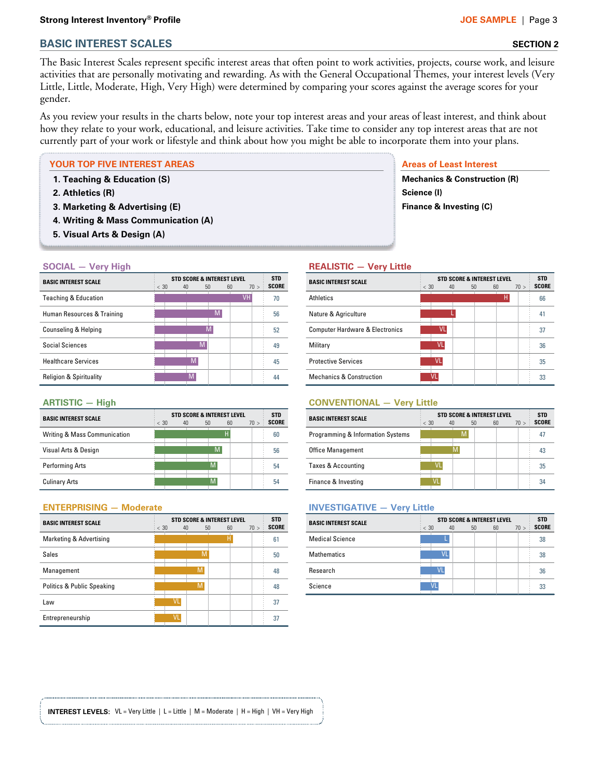#### **Strong Interest Inventory® Profile JOE SAMPLE |** Page 3

## **BASIC INTEREST SCALES** SECTION 2

The Basic Interest Scales represent specific interest areas that often point to work activities, projects, course work, and leisure activities that are personally motivating and rewarding. As with the General Occupational Themes, your interest levels (Very Little, Little, Moderate, High, Very High) were determined by comparing your scores against the average scores for your gender.

As you review your results in the charts below, note your top interest areas and your areas of least interest, and think about how they relate to your work, educational, and leisure activities. Take time to consider any top interest areas that are not currently part of your work or lifestyle and think about how you might be able to incorporate them into your plans.

#### **YOUR TOP FIVE INTEREST AREAS AREAS AREAS AREAS AREAS AREAS AREAS AREAS AREAS AREAS AREAS AREAS AREAS**

- **1. Teaching & Education (S)**
- **2. Athletics (R)**
- **3. Marketing & Advertising (E)**
- **4. Writing & Mass Communication (A)**
- **5. Visual Arts & Design (A)**

#### **SOCIAL — Very High .**

| <b>BASIC INTEREST SCALE</b>        | <b>STD SCORE &amp; INTEREST LEVEL</b> |    |              |    |           |      |              |  |
|------------------------------------|---------------------------------------|----|--------------|----|-----------|------|--------------|--|
|                                    | $\frac{1}{2} < 30$                    | 40 | $50^{\circ}$ | 60 |           | 70 > | <b>SCORE</b> |  |
| <b>Teaching &amp; Education</b>    |                                       |    |              |    | <b>VH</b> |      | 70           |  |
| Human Resources & Training         |                                       |    |              | м  |           |      | 56           |  |
| Counseling & Helping               |                                       |    |              | М  |           |      | 52           |  |
| Social Sciences                    |                                       |    | M            |    |           |      | 49           |  |
| <b>Healthcare Services</b>         |                                       |    | M            |    |           |      | 45           |  |
| <b>Religion &amp; Spirituality</b> |                                       |    | M            |    |           |      | 44           |  |

#### **ARTISTIC — High .**

| <b>BASIC INTEREST SCALE</b>  | $\frac{1}{2} < 30$ | <b>STD SCORE &amp; INTEREST LEVEL</b><br>40<br>$50^{\circ}$ |   | 60 | 70 ><br>$\vdots$ | <b>STD</b><br><b>SCORE</b> |
|------------------------------|--------------------|-------------------------------------------------------------|---|----|------------------|----------------------------|
| Writing & Mass Communication |                    |                                                             | Н |    |                  | 60                         |
| Visual Arts & Design         |                    |                                                             | M |    |                  | 56                         |
| <b>Performing Arts</b>       |                    |                                                             | M |    |                  | 54                         |
| <b>Culinary Arts</b>         |                    |                                                             | M |    |                  | 54                         |

#### **ENTERPRISING — Moderate.**

| <b>BASIC INTEREST SCALE</b> | $\frac{1}{2} < 30$ | 40 | 50 | <b>STD SCORE &amp; INTEREST LEVEL</b><br>60 | 70 > | <b>STD</b><br><b>SCORE</b> |
|-----------------------------|--------------------|----|----|---------------------------------------------|------|----------------------------|
| Marketing & Advertising     |                    |    |    | Н                                           |      | 61                         |
| <b>Sales</b>                |                    |    | M  |                                             |      | 50                         |
| Management                  |                    |    | M  |                                             |      | 48                         |
| Politics & Public Speaking  |                    |    | M  |                                             |      | 48                         |
| Law                         |                    | VL |    |                                             |      | 37                         |
| Entrepreneurship            |                    | VL |    |                                             |      | 37                         |

**Mechanics & Construction (R) Science (I) Finance & Investing (C)**

#### **REALISTIC — Very Little .**

| <b>BASIC INTEREST SCALE</b>                | $\frac{1}{2} < 30$ | 40 | <b>STD SCORE &amp; INTEREST LEVEL</b><br>60<br>50 |   | 70 > | <b>STD</b><br><b>SCORE</b> |
|--------------------------------------------|--------------------|----|---------------------------------------------------|---|------|----------------------------|
| <b>Athletics</b>                           |                    |    |                                                   | н |      | 66                         |
| Nature & Agriculture                       |                    |    |                                                   |   |      | 41                         |
| <b>Computer Hardware &amp; Electronics</b> |                    | VL |                                                   |   |      | 37                         |
| Military                                   |                    | VL |                                                   |   |      | 36                         |
| <b>Protective Services</b>                 |                    |    |                                                   |   |      | 35                         |
| <b>Mechanics &amp; Construction</b>        |                    | Vl |                                                   |   |      | 33                         |

#### **CONVENTIONAL — Very Little .**

| <b>BASIC INTEREST SCALE</b>       | $\frac{1}{2} < 30$ | 40 | <b>STD SCORE &amp; INTEREST LEVEL</b><br>60<br>50 | 70 > 1 | <b>STD</b><br><b>SCORE</b> |
|-----------------------------------|--------------------|----|---------------------------------------------------|--------|----------------------------|
| Programming & Information Systems |                    |    |                                                   |        | 47                         |
| <b>Office Management</b>          |                    |    |                                                   |        | 43                         |
| Taxes & Accounting                |                    |    |                                                   |        | 35                         |
| Finance & Investing               |                    |    |                                                   |        | 34                         |

#### **INVESTIGATIVE — Very Little .**

| <b>BASIC INTEREST SCALE</b> | $\frac{1}{2} < 30$ | 40 | 50 | <b>STD SCORE &amp; INTEREST LEVEL</b> | 60 | 70 > 1 | <b>STD</b><br><b>SCORE</b> |
|-----------------------------|--------------------|----|----|---------------------------------------|----|--------|----------------------------|
| <b>Medical Science</b>      |                    |    |    |                                       |    |        | 38                         |
| <b>Mathematics</b>          |                    | VI |    |                                       |    |        | 38                         |
| Research                    |                    | VI |    |                                       |    |        | 36                         |
| Science                     |                    |    |    |                                       |    |        | 33                         |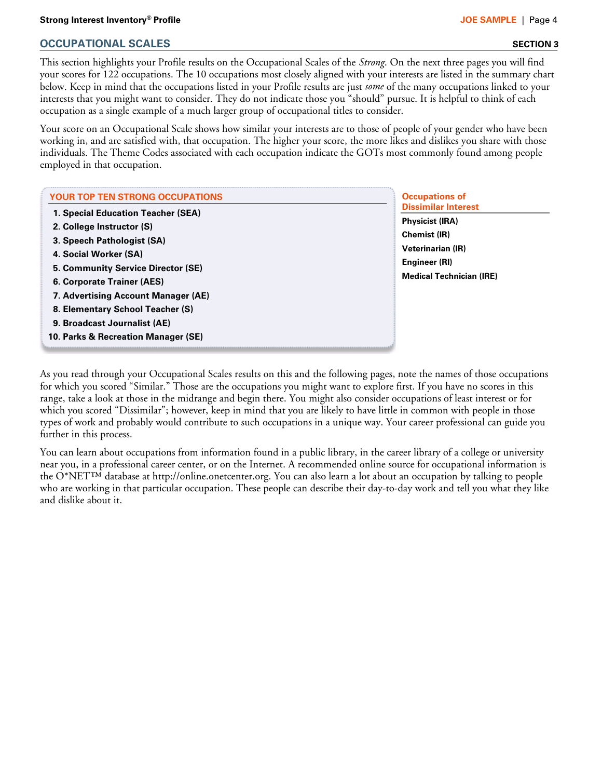This section highlights your Profile results on the Occupational Scales of the *Strong*. On the next three pages you will find your scores for 122 occupations. The 10 occupations most closely aligned with your interests are listed in the summary chart below. Keep in mind that the occupations listed in your Profile results are just *some* of the many occupations linked to your interests that you might want to consider. They do not indicate those you "should" pursue. It is helpful to think of each occupation as a single example of a much larger group of occupational titles to consider.

Your score on an Occupational Scale shows how similar your interests are to those of people of your gender who have been working in, and are satisfied with, that occupation. The higher your score, the more likes and dislikes you share with those individuals. The Theme Codes associated with each occupation indicate the GOTs most commonly found among people employed in that occupation.

| <b>YOUR TOP TEN STRONG OCCUPATIONS</b>                                                                                                                                                            | <b>Occupations of</b>                                                                                                                                       |
|---------------------------------------------------------------------------------------------------------------------------------------------------------------------------------------------------|-------------------------------------------------------------------------------------------------------------------------------------------------------------|
| 1. Special Education Teacher (SEA)<br>2. College Instructor (S)<br>3. Speech Pathologist (SA)<br>4. Social Worker (SA)<br>5. Community Service Director (SE)<br><b>6. Corporate Trainer (AES)</b> | <b>Dissimilar Interest</b><br><b>Physicist (IRA)</b><br><b>Chemist (IR)</b><br><b>Veterinarian (IR)</b><br>Engineer (RI)<br><b>Medical Technician (IRE)</b> |
| 7. Advertising Account Manager (AE)<br>8. Elementary School Teacher (S)<br>9. Broadcast Journalist (AE)<br>10. Parks & Recreation Manager (SE)                                                    |                                                                                                                                                             |

As you read through your Occupational Scales results on this and the following pages, note the names of those occupations for which you scored "Similar." Those are the occupations you might want to explore first. If you have no scores in this range, take a look at those in the midrange and begin there. You might also consider occupations of least interest or for which you scored "Dissimilar"; however, keep in mind that you are likely to have little in common with people in those types of work and probably would contribute to such occupations in a unique way. Your career professional can guide you further in this process.

You can learn about occupations from information found in a public library, in the career library of a college or university near you, in a professional career center, or on the Internet. A recommended online source for occupational information is the O\*NET™ database at http://online.onetcenter.org. You can also learn a lot about an occupation by talking to people who are working in that particular occupation. These people can describe their day-to-day work and tell you what they like and dislike about it.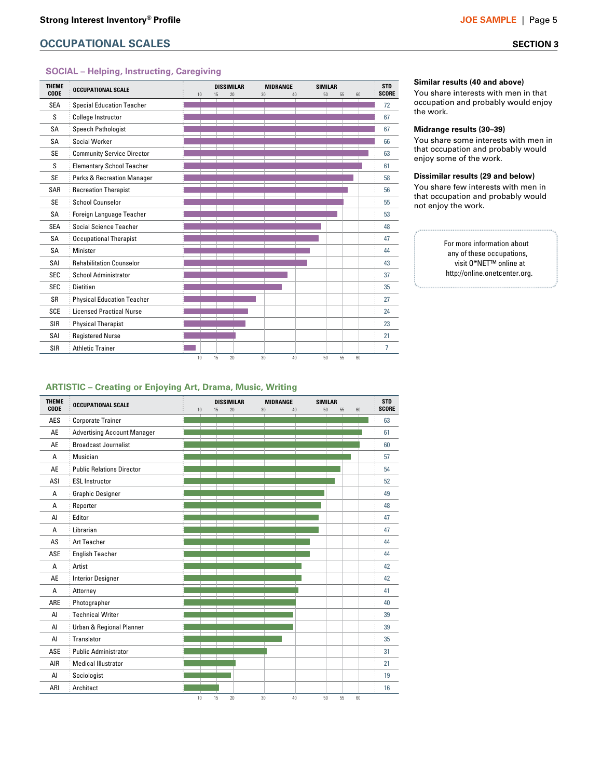#### **SOCIAL – Helping, Instructing, Caregiving**

| <b>SEA</b> | <b>Special Education Teacher</b>      |  | 20 | 30 | 40 | 50 | 55<br>60 | <b>SCORE</b> |
|------------|---------------------------------------|--|----|----|----|----|----------|--------------|
|            |                                       |  |    |    |    |    |          | 72           |
| S          | <b>College Instructor</b>             |  |    |    |    |    |          | 67           |
| <b>SA</b>  | Speech Pathologist                    |  |    |    |    |    |          | 67           |
| <b>SA</b>  | Social Worker                         |  |    |    |    |    |          | 66           |
| <b>SE</b>  | <b>Community Service Director</b>     |  |    |    |    |    |          | 63           |
| S          | <b>Elementary School Teacher</b>      |  |    |    |    |    |          | 61           |
| <b>SE</b>  | <b>Parks &amp; Recreation Manager</b> |  |    |    |    |    |          | 58           |
| SAR        | <b>Recreation Therapist</b>           |  |    |    |    |    |          | 56           |
| <b>SE</b>  | School Counselor                      |  |    |    |    |    |          | 55           |
| SA         | Foreign Language Teacher              |  |    |    |    |    |          | 53           |
| <b>SEA</b> | Social Science Teacher                |  |    |    |    |    |          | 48           |
| SA         | <b>Occupational Therapist</b>         |  |    |    |    |    |          | 47           |
| SA         | Minister                              |  |    |    |    |    |          | 44           |
| SAI        | <b>Rehabilitation Counselor</b>       |  |    |    |    |    |          | 43           |
| <b>SEC</b> | <b>School Administrator</b>           |  |    |    |    |    |          | 37           |
| <b>SEC</b> | Dietitian                             |  |    |    |    |    |          | 35           |
| <b>SR</b>  | <b>Physical Education Teacher</b>     |  |    |    |    |    |          | 27           |
| <b>SCE</b> | <b>Licensed Practical Nurse</b>       |  |    |    |    |    |          | 24           |
| <b>SIR</b> | <b>Physical Therapist</b>             |  |    |    |    |    |          | 23           |
| SAI        | <b>Registered Nurse</b>               |  |    |    |    |    |          | 21           |
| SIR        | <b>Athletic Trainer</b>               |  |    |    |    |    |          | 7            |

#### **Similar results (40 and above)**

You share interests with men in that occupation and probably would enjoy the work.

#### **Midrange results (30–39)**

You share some interests with men in that occupation and probably would enjoy some of the work.

#### **Dissimilar results (29 and below)**

You share few interests with men in that occupation and probably would not enjoy the work.

#### For more information about any of these occupations, visit O\*NET™ online at http://online.onetcenter.org.

#### **ARTISTIC – Creating or Enjoying Art, Drama, Music, Writing**

| <b>THEME</b><br>CODE | <b>OCCUPATIONAL SCALE</b>          | 10 | <b>DISSIMILAR</b><br>20<br>15 | <b>MIDRANGE</b><br>30<br>40 | <b>SIMILAR</b><br>55<br>50<br>60 | <b>STD</b><br><b>SCORE</b> |
|----------------------|------------------------------------|----|-------------------------------|-----------------------------|----------------------------------|----------------------------|
| AES                  | <b>Corporate Trainer</b>           |    |                               |                             |                                  | 63                         |
| AE                   | <b>Advertising Account Manager</b> |    |                               |                             |                                  | 61                         |
| AE                   | <b>Broadcast Journalist</b>        |    |                               |                             |                                  | 60                         |
| A                    | Musician                           |    |                               |                             |                                  | 57                         |
| AE                   | <b>Public Relations Director</b>   |    |                               |                             |                                  | 54                         |
| ASI                  | <b>ESL Instructor</b>              |    |                               |                             |                                  | 52                         |
| A                    | <b>Graphic Designer</b>            |    |                               |                             |                                  | 49                         |
| A                    | Reporter                           |    |                               |                             |                                  | 48                         |
| AI                   | Editor                             |    |                               |                             |                                  | 47                         |
| A                    | Librarian                          |    |                               |                             |                                  | 47                         |
| AS                   | <b>Art Teacher</b>                 |    |                               |                             |                                  | 44                         |
| ASE                  | <b>English Teacher</b>             |    |                               |                             |                                  | 44                         |
| A                    | Artist                             |    |                               |                             |                                  | 42                         |
| AE                   | <b>Interior Designer</b>           |    |                               |                             |                                  | 42                         |
| A                    | Attorney                           |    |                               |                             |                                  | 41                         |
| ARE                  | Photographer                       |    |                               |                             |                                  | 40                         |
| AI                   | <b>Technical Writer</b>            |    |                               |                             |                                  | 39                         |
| AI                   | Urban & Regional Planner           |    |                               |                             |                                  | 39                         |
| AI                   | Translator                         |    |                               |                             |                                  | 35                         |
| ASE                  | <b>Public Administrator</b>        |    |                               |                             |                                  | 31                         |
| AIR                  | <b>Medical Illustrator</b>         |    |                               |                             |                                  | 21                         |
| AI                   | Sociologist                        |    |                               |                             |                                  | 19                         |
| ARI                  | Architect                          |    |                               |                             |                                  | 16                         |
|                      |                                    | 10 | 15<br>20                      | 30<br>40                    | 50<br>55<br>60                   |                            |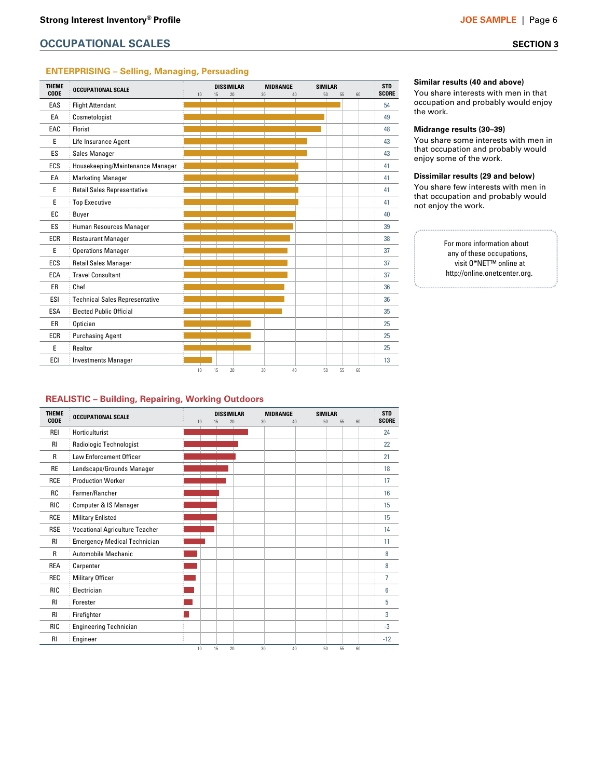#### **ENTERPRISING – Selling, Managing, Persuading**

| <b>THEME</b> | <b>OCCUPATIONAL SCALE</b>             |    |    | <b>DISSIMILAR</b> | <b>MIDRANGE</b> |    | <b>SIMILAR</b> |    |    | <b>STD</b>   |
|--------------|---------------------------------------|----|----|-------------------|-----------------|----|----------------|----|----|--------------|
| <b>CODE</b>  |                                       | 10 | 15 | 20                | 30              | 40 | 50             | 55 | 60 | <b>SCORE</b> |
| EAS          | <b>Flight Attendant</b>               |    |    |                   |                 |    |                |    |    | 54           |
| EA           | Cosmetologist                         |    |    |                   |                 |    |                |    |    | 49           |
| EAC          | Florist                               |    |    |                   |                 |    |                |    |    | 48           |
| E            | Life Insurance Agent                  |    |    |                   |                 |    |                |    |    | 43           |
| ES           | Sales Manager                         |    |    |                   |                 |    |                |    |    | 43           |
| ECS          | Housekeeping/Maintenance Manager      |    |    |                   |                 |    |                |    |    | 41           |
| EA           | <b>Marketing Manager</b>              |    |    |                   |                 |    |                |    |    | 41           |
| E            | <b>Retail Sales Representative</b>    |    |    |                   |                 |    |                |    |    | 41           |
| E            | <b>Top Executive</b>                  |    |    |                   |                 |    |                |    |    | 41           |
| EC           | Buyer                                 |    |    |                   |                 |    |                |    |    | 40           |
| ES           | Human Resources Manager               |    |    |                   |                 |    |                |    |    | 39           |
| <b>ECR</b>   | <b>Restaurant Manager</b>             |    |    |                   |                 |    |                |    |    | 38           |
| E            | <b>Operations Manager</b>             |    |    |                   |                 |    |                |    |    | 37           |
| ECS          | Retail Sales Manager                  |    |    |                   |                 |    |                |    |    | 37           |
| <b>ECA</b>   | <b>Travel Consultant</b>              |    |    |                   |                 |    |                |    |    | 37           |
| ER           | Chef                                  |    |    |                   |                 |    |                |    |    | 36           |
| ESI          | <b>Technical Sales Representative</b> |    |    |                   |                 |    |                |    |    | 36           |
| <b>ESA</b>   | <b>Elected Public Official</b>        |    |    |                   |                 |    |                |    |    | 35           |
| ER           | Optician                              |    |    |                   |                 |    |                |    |    | 25           |
| <b>ECR</b>   | <b>Purchasing Agent</b>               |    |    |                   |                 |    |                |    |    | 25           |
| E            | Realtor                               |    |    |                   |                 |    |                |    |    | 25           |
| ECI          | <b>Investments Manager</b>            |    |    |                   |                 |    |                |    |    | 13           |
|              |                                       | 10 | 15 | 20                | 30              | 40 | 50             | 55 | 60 |              |

#### **Similar results (40 and above)**

You share interests with men in that occupation and probably would enjoy the work.

#### **Midrange results (30–39)**

You share some interests with men in that occupation and probably would enjoy some of the work.

#### **Dissimilar results (29 and below)**

You share few interests with men in that occupation and probably would not enjoy the work.

#### For more information about any of these occupations, visit O\*NET™ online at http://online.onetcenter.org.

#### **REALISTIC – Building, Repairing, Working Outdoors**

| <b>THEME</b> | <b>OCCUPATIONAL SCALE</b>             |    | <b>DISSIMILAR</b> | <b>MIDRANGE</b> |    | <b>SIMILAR</b> |    |    | <b>STD</b>   |
|--------------|---------------------------------------|----|-------------------|-----------------|----|----------------|----|----|--------------|
| <b>CODE</b>  |                                       | 10 | 20<br>15          | 30              | 40 | 50             | 55 | 60 | <b>SCORE</b> |
| <b>REI</b>   | Horticulturist                        |    |                   |                 |    |                |    |    | 24           |
| RI           | Radiologic Technologist               |    |                   |                 |    |                |    |    | 22           |
| R            | <b>Law Enforcement Officer</b>        |    |                   |                 |    |                |    |    | 21           |
| <b>RE</b>    | Landscape/Grounds Manager             |    |                   |                 |    |                |    |    | 18           |
| <b>RCE</b>   | <b>Production Worker</b>              |    |                   |                 |    |                |    |    | 17           |
| <b>RC</b>    | Farmer/Rancher                        |    |                   |                 |    |                |    |    | 16           |
| <b>RIC</b>   | Computer & IS Manager                 |    |                   |                 |    |                |    |    | 15           |
| <b>RCE</b>   | <b>Military Enlisted</b>              |    |                   |                 |    |                |    |    | 15           |
| <b>RSE</b>   | <b>Vocational Agriculture Teacher</b> |    |                   |                 |    |                |    |    | 14           |
| <b>RI</b>    | <b>Emergency Medical Technician</b>   |    |                   |                 |    |                |    |    | 11           |
| $\mathsf{R}$ | Automobile Mechanic                   |    |                   |                 |    |                |    |    | 8            |
| <b>REA</b>   | Carpenter                             |    |                   |                 |    |                |    |    | 8            |
| <b>REC</b>   | Military Officer                      |    |                   |                 |    |                |    |    | 7            |
| <b>RIC</b>   | Electrician                           |    |                   |                 |    |                |    |    | 6            |
| <b>RI</b>    | Forester                              |    |                   |                 |    |                |    |    | 5            |
| <b>RI</b>    | Firefighter                           |    |                   |                 |    |                |    |    | 3            |
| <b>RIC</b>   | <b>Engineering Technician</b>         |    |                   |                 |    |                |    |    | $-3$         |
| <b>RI</b>    | Engineer                              |    |                   |                 |    |                |    |    | $-12$        |
|              |                                       | 10 | 15<br>20          | 30              | 40 | 50             | 55 | 60 |              |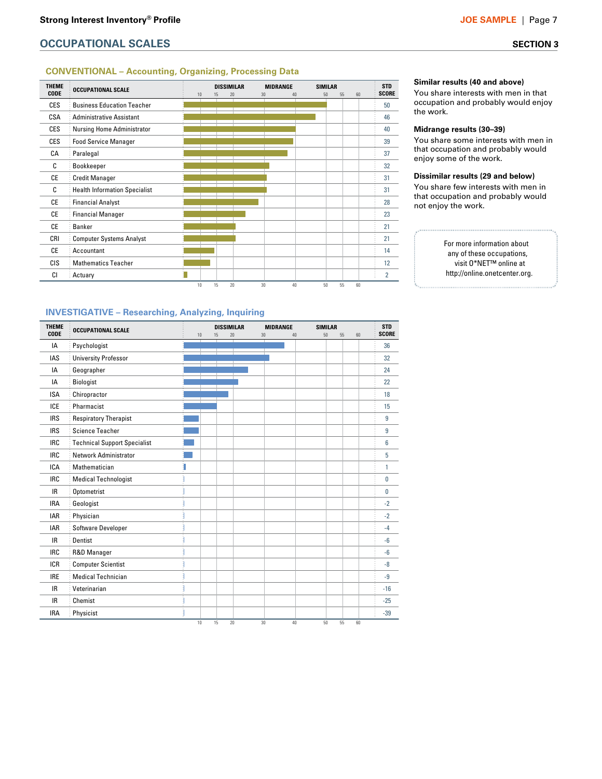#### **CONVENTIONAL – Accounting, Organizing, Processing Data**



**Similar results (40 and above)**

You share interests with men in that occupation and probably would enjoy the work.

#### **Midrange results (30–39)**

You share some interests with men in that occupation and probably would enjoy some of the work.

#### **Dissimilar results (29 and below)**

You share few interests with men in that occupation and probably would not enjoy the work.

> For more information about any of these occupations, visit O\*NET™ online at http://online.onetcenter.org.

#### **INVESTIGATIVE – Researching, Analyzing, Inquiring**

| <b>THEME</b><br><b>CODE</b> | <b>OCCUPATIONAL SCALE</b>           |   | 10 | <b>DISSIMILAR</b><br>15 | 20 | <b>MIDRANGE</b><br>30 | 40       | <b>SIMILAR</b><br>50<br>55 | 60 | <b>STD</b><br><b>SCORE</b> |
|-----------------------------|-------------------------------------|---|----|-------------------------|----|-----------------------|----------|----------------------------|----|----------------------------|
| IA                          | Psychologist                        |   |    |                         |    |                       |          |                            |    | 36                         |
| <b>IAS</b>                  | <b>University Professor</b>         |   |    |                         |    |                       |          |                            |    | 32                         |
| IA                          | Geographer                          |   |    |                         |    |                       |          |                            |    | 24                         |
| IA                          | Biologist                           |   |    |                         |    |                       |          |                            |    | 22                         |
| <b>ISA</b>                  | Chiropractor                        |   |    |                         |    |                       |          |                            |    | 18                         |
| <b>ICE</b>                  | Pharmacist                          |   |    |                         |    |                       |          |                            |    | 15                         |
| <b>IRS</b>                  | <b>Respiratory Therapist</b>        |   |    |                         |    |                       |          |                            |    | 9                          |
| <b>IRS</b>                  | <b>Science Teacher</b>              |   |    |                         |    |                       |          |                            |    | 9                          |
| <b>IRC</b>                  | <b>Technical Support Specialist</b> |   |    |                         |    |                       |          |                            |    | 6                          |
| <b>IRC</b>                  | <b>Network Administrator</b>        |   |    |                         |    |                       |          |                            |    | 5                          |
| <b>ICA</b>                  | Mathematician                       | I |    |                         |    |                       |          |                            |    | 1                          |
| <b>IRC</b>                  | <b>Medical Technologist</b>         |   |    |                         |    |                       |          |                            |    | 0                          |
| <b>IR</b>                   | Optometrist                         |   |    |                         |    |                       |          |                            |    | 0                          |
| <b>IRA</b>                  | Geologist                           |   |    |                         |    |                       |          |                            |    | $-2$                       |
| IAR                         | Physician                           |   |    |                         |    |                       |          |                            |    | $-2$                       |
| <b>IAR</b>                  | Software Developer                  |   |    |                         |    |                       |          |                            |    | $-4$                       |
| IR.                         | Dentist                             |   |    |                         |    |                       |          |                            |    | $-6$                       |
| <b>IRC</b>                  | R&D Manager                         |   |    |                         |    |                       |          |                            |    | $-6$                       |
| <b>ICR</b>                  | <b>Computer Scientist</b>           |   |    |                         |    |                       |          |                            |    | $-8$                       |
| <b>IRE</b>                  | <b>Medical Technician</b>           |   |    |                         |    |                       |          |                            |    | $-9$                       |
| <b>IR</b>                   | Veterinarian                        |   |    |                         |    |                       |          |                            |    | $-16$                      |
| <b>IR</b>                   | Chemist                             |   |    |                         |    |                       |          |                            |    | $-25$                      |
| <b>IRA</b>                  | Physicist                           |   |    |                         |    |                       |          |                            |    | $-39$                      |
|                             |                                     |   | 10 | 15                      | 20 | 30                    | 40<br>50 | 55                         | 60 |                            |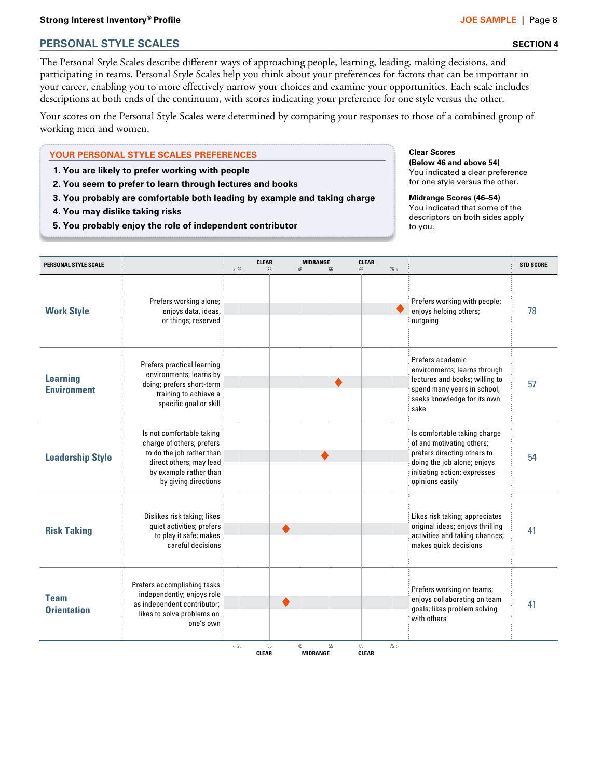### **Strong Interest Inventory® Profile JOE SAMPLE |** Page 8

## **PERSONAL STYLE SCALES SECTION 4**

The Personal Style Scales describe different ways of approaching people, learning, leading, making decisions, and participating in teams. Personal Style Scales help you think about your preferences for factors that can be important in your career, enabling you to more effectively narrow your choices and examine your opportunities. Each scale includes descriptions at both ends of the continuum, with scores indicating your preference for one style versus the other.

Your scores on the Personal Style Scales were determined by comparing your responses to those of a combined group of working men and women.

#### **YOUR PERSONAL STYLE SCALES PREFERENCES**

- **1. You are likely to prefer working with people**
- **2. You seem to prefer to learn through lectures and books**
- **3. You probably are comfortable both leading by example and taking charge**

**.**

**4. You may dislike taking risks**

**. .**

**5. You probably enjoy the role of independent contributor**

#### **Clear Scores (Below 46 and above 54)** You indicated a clear preference

for one style versus the other. **Midrange Scores (46–54)**

You indicated that some of the descriptors on both sides apply to you.

**. .**

| <b>PERSONAL STYLE SCALE</b>           |                                                                                                                                                                  | < 25 | CLEAR<br>35        | MIDRANGE<br>45<br>55        | <b>CLEAR</b><br>65 | 75 > |                                                                                                                                                                            | <b>STD SCORE</b> |
|---------------------------------------|------------------------------------------------------------------------------------------------------------------------------------------------------------------|------|--------------------|-----------------------------|--------------------|------|----------------------------------------------------------------------------------------------------------------------------------------------------------------------------|------------------|
| <b>Work Style</b>                     | Prefers working alone;<br>enjoys data, ideas,<br>or things; reserved                                                                                             |      |                    |                             |                    |      | Prefers working with people;<br>enjoys helping others;<br>outgoing                                                                                                         | 78               |
| <b>Learning</b><br><b>Environment</b> | Prefers practical learning<br>environments; learns by<br>doing; prefers short-term<br>training to achieve a<br>specific goal or skill                            |      |                    |                             |                    |      | Prefers academic<br>environments; learns through<br>lectures and books; willing to<br>spend many years in school;<br>seeks knowledge for its own<br>sake                   | 57               |
| <b>Leadership Style</b>               | Is not comfortable taking<br>charge of others; prefers<br>to do the job rather than<br>direct others; may lead<br>by example rather than<br>by giving directions |      |                    |                             |                    |      | Is comfortable taking charge<br>of and motivating others;<br>prefers directing others to<br>doing the job alone; enjoys<br>initiating action; expresses<br>opinions easily | 54               |
| <b>Risk Taking</b>                    | Dislikes risk taking; likes<br>quiet activities; prefers<br>to play it safe; makes<br>careful decisions                                                          |      |                    |                             |                    |      | Likes risk taking; appreciates<br>original ideas; enjoys thrilling<br>activities and taking chances;<br>makes quick decisions                                              | 41               |
| <b>Team</b><br><b>Orientation</b>     | Prefers accomplishing tasks<br>independently; enjoys role<br>as independent contributor;<br>likes to solve problems on<br>one's own                              |      |                    |                             |                    |      | Prefers working on teams;<br>enjoys collaborating on team<br>goals; likes problem solving<br>with others                                                                   | 41               |
|                                       |                                                                                                                                                                  | < 25 | 35<br><b>CLEAR</b> | 45<br>55<br><b>MIDRANGE</b> | 65<br><b>CLEAR</b> | 75 > |                                                                                                                                                                            |                  |

**. .**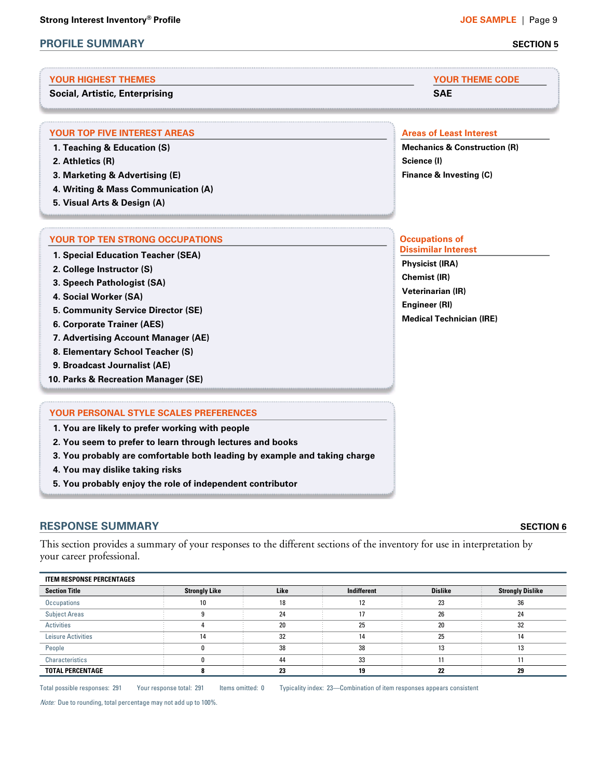## **PROFILE SUMMARY SECTION 5**

#### **YOUR HIGHEST THEMES YOUR THEME CODE**

**Social, Artistic, Enterprising SAE**

#### **YOUR TOP FIVE INTEREST AREAS AREAS AREAS AREAS AREAS AREAS AREAS AREAS AREAS AREAS AREAS AREAS**

- **1. Teaching & Education (S)**
- **2. Athletics (R)**
- **3. Marketing & Advertising (E)**
- **4. Writing & Mass Communication (A)**
- **5. Visual Arts & Design (A)**

#### **YOUR TOP TEN STRONG OCCUPATIONS CONSUMING A SET OCCUPATIONS Occupations of**

**1. Special Education Teacher (SEA)**

- **2. College Instructor (S)**
- **3. Speech Pathologist (SA)**
- **4. Social Worker (SA)**
- **5. Community Service Director (SE)**
- **6. Corporate Trainer (AES)**
- **7. Advertising Account Manager (AE)**
- **8. Elementary School Teacher (S)**
- **9. Broadcast Journalist (AE)**
- **10. Parks & Recreation Manager (SE)**

#### **YOUR PERSONAL STYLE SCALES PREFERENCES**

**1. You are likely to prefer working with people**

- **2. You seem to prefer to learn through lectures and books**
- **3. You probably are comfortable both leading by example and taking charge**
- **4. You may dislike taking risks**
- **5. You probably enjoy the role of independent contributor**

## **RESPONSE SUMMARY SECTION 6**

This section provides a summary of your responses to the different sections of the inventory for use in interpretation by your career professional.

| <b>ITEM RESPONSE PERCENTAGES</b> |                      |      |             |                |                         |  |
|----------------------------------|----------------------|------|-------------|----------------|-------------------------|--|
| <b>Section Title</b>             | <b>Strongly Like</b> | Like | Indifferent | <b>Dislike</b> | <b>Strongly Dislike</b> |  |
| Occupations                      | 10                   | 18   | 12          | 23             | 36                      |  |
| <b>Subject Areas</b>             |                      | 24   | 17          | 26             | 24                      |  |
| <b>Activities</b>                |                      | 20   | 25          | 20             | 32                      |  |
| Leisure Activities               | 14                   | 32   | 14          | 25             | 14                      |  |
| People                           |                      | 38   | 38          | 13             | 13                      |  |
| Characteristics                  |                      | 44   | 33          |                | 11                      |  |
| <b>TOTAL PERCENTAGE</b>          |                      | 23   | 19          | 22             | 29                      |  |

Total possible responses: 291 Your response total: 291 Items omitted: 0 Typicality index: 23—Combination of item responses appears consistent

Note: Due to rounding, total percentage may not add up to 100%.

**Mechanics & Construction (R) Science (I) Finance & Investing (C)**

## **Dissimilar Interest**

**Physicist (IRA) Chemist (IR) Veterinarian (IR) Engineer (RI) Medical Technician (IRE)**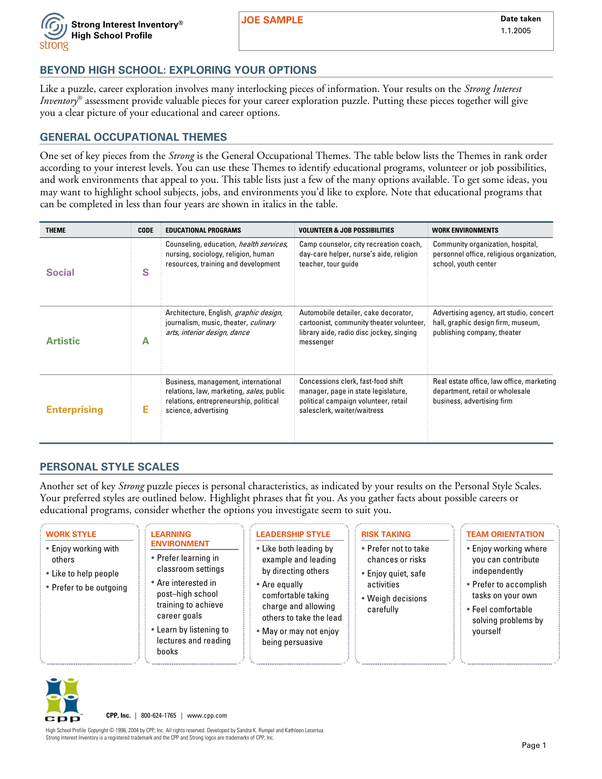

**JOE SAMPLE** Date taken

## **BEYOND HIGH SCHOOL: EXPLORING YOUR OPTIONS**

Like a puzzle, career exploration involves many interlocking pieces of information. Your results on the *Strong Interest Inventory*® assessment provide valuable pieces for your career exploration puzzle. Putting these pieces together will give you a clear picture of your educational and career options.

## **GENERAL OCCUPATIONAL THEMES**

One set of key pieces from the *Strong* is the General Occupational Themes. The table below lists the Themes in rank order according to your interest levels. You can use these Themes to identify educational programs, volunteer or job possibilities, and work environments that appeal to you. This table lists just a few of the many options available. To get some ideas, you may want to highlight school subjects, jobs, and environments you'd like to explore. Note that educational programs that can be completed in less than four years are shown in italics in the table.

| <b>THEME</b>        | <b>CODE</b> | <b>EDUCATIONAL PROGRAMS</b>                                                                                                                       | <b>VOLUNTEER &amp; JOB POSSIBILITIES</b>                                                                                                         | <b>WORK ENVIRONMENTS</b>                                                                                     |
|---------------------|-------------|---------------------------------------------------------------------------------------------------------------------------------------------------|--------------------------------------------------------------------------------------------------------------------------------------------------|--------------------------------------------------------------------------------------------------------------|
| <b>Social</b>       | S           | Counseling, education, health services,<br>nursing, sociology, religion, human<br>resources, training and development                             | Camp counselor, city recreation coach,<br>day-care helper, nurse's aide, religion<br>teacher, tour quide                                         | Community organization, hospital,<br>personnel office, religious organization,<br>school, youth center       |
| <b>Artistic</b>     | А           | Architecture, English, graphic design,<br>journalism, music, theater, culinary<br>arts, interior design, dance                                    | Automobile detailer, cake decorator,<br>cartoonist, community theater volunteer,<br>library aide, radio disc jockey, singing<br>messenger        | Advertising agency, art studio, concert<br>hall, graphic design firm, museum,<br>publishing company, theater |
| <b>Enterprising</b> | Е           | Business, management, international<br>relations, law, marketing, sales, public<br>relations, entrepreneurship, political<br>science, advertising | Concessions clerk, fast-food shift<br>manager, page in state legislature,<br>political campaign volunteer, retail<br>salesclerk, waiter/waitress | Real estate office, law office, marketing<br>department, retail or wholesale<br>business, advertising firm   |

## **PERSONAL STYLE SCALES**

Another set of key *Strong* puzzle pieces is personal characteristics, as indicated by your results on the Personal Style Scales. Your preferred styles are outlined below. Highlight phrases that fit you. As you gather facts about possible careers or educational programs, consider whether the options you investigate seem to suit you.

| <b>WORK STYLE</b><br>• Enjoy working with<br>others<br>• Like to help people<br>• Prefer to be outgoing | <b>LEARNING</b><br><b>ENVIRONMENT</b><br>• Prefer learning in<br>classroom settings<br>• Are interested in<br>post-high school<br>training to achieve<br>career goals<br>• Learn by listening to<br>lectures and reading<br>books | <b>LEADERSHIP STYLE</b><br>• Like both leading by<br>example and leading<br>by directing others<br>• Are equally<br>comfortable taking<br>charge and allowing<br>others to take the lead<br>• May or may not enjoy<br>being persuasive | <b>RISK TAKING</b><br>• Prefer not to take<br>chances or risks<br>• Enjoy quiet, safe<br>activities<br>• Weigh decisions<br>carefully | <b>TEAM ORIENTATION</b><br>• Enjoy working where<br>you can contribute<br>independently<br>• Prefer to accomplish<br>tasks on your own<br>• Feel comfortable<br>solving problems by<br>yourself |
|---------------------------------------------------------------------------------------------------------|-----------------------------------------------------------------------------------------------------------------------------------------------------------------------------------------------------------------------------------|----------------------------------------------------------------------------------------------------------------------------------------------------------------------------------------------------------------------------------------|---------------------------------------------------------------------------------------------------------------------------------------|-------------------------------------------------------------------------------------------------------------------------------------------------------------------------------------------------|
|---------------------------------------------------------------------------------------------------------|-----------------------------------------------------------------------------------------------------------------------------------------------------------------------------------------------------------------------------------|----------------------------------------------------------------------------------------------------------------------------------------------------------------------------------------------------------------------------------------|---------------------------------------------------------------------------------------------------------------------------------------|-------------------------------------------------------------------------------------------------------------------------------------------------------------------------------------------------|



**CPP, Inc.** | 800-624-1765 | www.cpp.com

High School Profile Copyright © 1996, 2004 by CPP, Inc. All rights reserved. Developed by Sandra K. Rumpel and Kathleen Lecertua. Strong Interest Inventory is a registered trademark and the CPP and Strong logos are trademarks of CPP, Inc.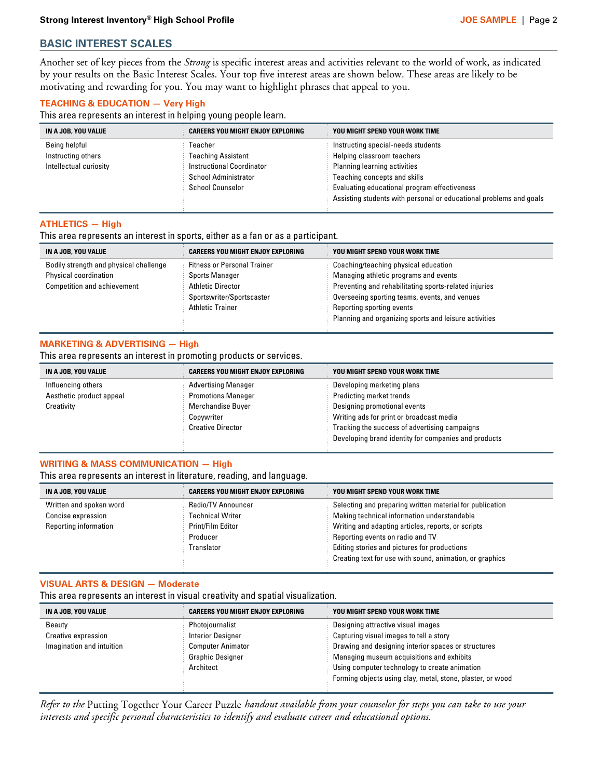## **BASIC INTEREST SCALES**

Another set of key pieces from the *Strong* is specific interest areas and activities relevant to the world of work, as indicated by your results on the Basic Interest Scales. Your top five interest areas are shown below. These areas are likely to be motivating and rewarding for you. You may want to highlight phrases that appeal to you.

## **TEACHING & EDUCATION — Very High**

This area represents an interest in helping young people learn.

| IN A JOB, YOU VALUE    | <b>CAREERS YOU MIGHT ENJOY EXPLORING</b> | YOU MIGHT SPEND YOUR WORK TIME                                     |
|------------------------|------------------------------------------|--------------------------------------------------------------------|
| Being helpful          | Teacher                                  | Instructing special-needs students                                 |
| Instructing others     | Teaching Assistant                       | Helping classroom teachers                                         |
| Intellectual curiosity | <b>Instructional Coordinator</b>         | Planning learning activities                                       |
|                        | <b>School Administrator</b>              | Teaching concepts and skills                                       |
|                        | <b>School Counselor</b>                  | Evaluating educational program effectiveness                       |
|                        |                                          | Assisting students with personal or educational problems and goals |

**.**

**. .**

**. .**

**.**

**.**

#### **ATHLETICS — High**

This area represents an interest in sports, either as a fan or as a participant.

**. .**

| IN A JOB, YOU VALUE                    | <b>CAREERS YOU MIGHT ENJOY EXPLORING</b> | YOU MIGHT SPEND YOUR WORK TIME                        |
|----------------------------------------|------------------------------------------|-------------------------------------------------------|
| Bodily strength and physical challenge | <b>Fitness or Personal Trainer</b>       | Coaching/teaching physical education                  |
| Physical coordination                  | <b>Sports Manager</b>                    | Managing athletic programs and events                 |
| <b>Competition and achievement</b>     | <b>Athletic Director</b>                 | Preventing and rehabilitating sports-related injuries |
|                                        | Sportswriter/Sportscaster                | Overseeing sporting teams, events, and venues         |
|                                        | <b>Athletic Trainer</b>                  | Reporting sporting events                             |
|                                        |                                          | Planning and organizing sports and leisure activities |

#### **MARKETING & ADVERTISING — High**

This area represents an interest in promoting products or services.

**.**

| IN A JOB, YOU VALUE      | <b>CAREERS YOU MIGHT ENJOY EXPLORING</b> | YOU MIGHT SPEND YOUR WORK TIME                       |
|--------------------------|------------------------------------------|------------------------------------------------------|
| Influencing others       | <b>Advertising Manager</b>               | Developing marketing plans                           |
| Aesthetic product appeal | <b>Promotions Manager</b>                | Predicting market trends                             |
| Creativity               | Merchandise Buyer                        | Designing promotional events                         |
|                          | Copywriter                               | Writing ads for print or broadcast media             |
|                          | <b>Creative Director</b>                 | Tracking the success of advertising campaigns        |
|                          |                                          | Developing brand identity for companies and products |

### **WRITING & MASS COMMUNICATION — High**

This area represents an interest in literature, reading, and language.

**. .**

| IN A JOB, YOU VALUE     | <b>CAREERS YOU MIGHT ENJOY EXPLORING</b> | YOU MIGHT SPEND YOUR WORK TIME                           |
|-------------------------|------------------------------------------|----------------------------------------------------------|
| Written and spoken word | Radio/TV Announcer                       | Selecting and preparing written material for publication |
| Concise expression      | <b>Technical Writer</b>                  | Making technical information understandable              |
| Reporting information   | Print/Film Editor                        | Writing and adapting articles, reports, or scripts       |
|                         | Producer                                 | Reporting events on radio and TV                         |
|                         | Translator                               | Editing stories and pictures for productions             |
|                         |                                          | Creating text for use with sound, animation, or graphics |
|                         |                                          |                                                          |

#### **VISUAL ARTS & DESIGN — Moderate**

This area represents an interest in visual creativity and spatial visualization.

**.**

**.**

| <b>CAREERS YOU MIGHT ENJOY EXPLORING</b> | YOU MIGHT SPEND YOUR WORK TIME                             |
|------------------------------------------|------------------------------------------------------------|
| Photojournalist                          | Designing attractive visual images                         |
| <b>Interior Designer</b>                 | Capturing visual images to tell a story                    |
| <b>Computer Animator</b>                 | Drawing and designing interior spaces or structures        |
| Graphic Designer                         | Managing museum acquisitions and exhibits                  |
| Architect                                | Using computer technology to create animation              |
|                                          | Forming objects using clay, metal, stone, plaster, or wood |
|                                          |                                                            |

*Refer to the* Putting Together Your Career Puzzle *handout available from your counselor for steps you can take to use your interests and specific personal characteristics to identify and evaluate career and educational options.*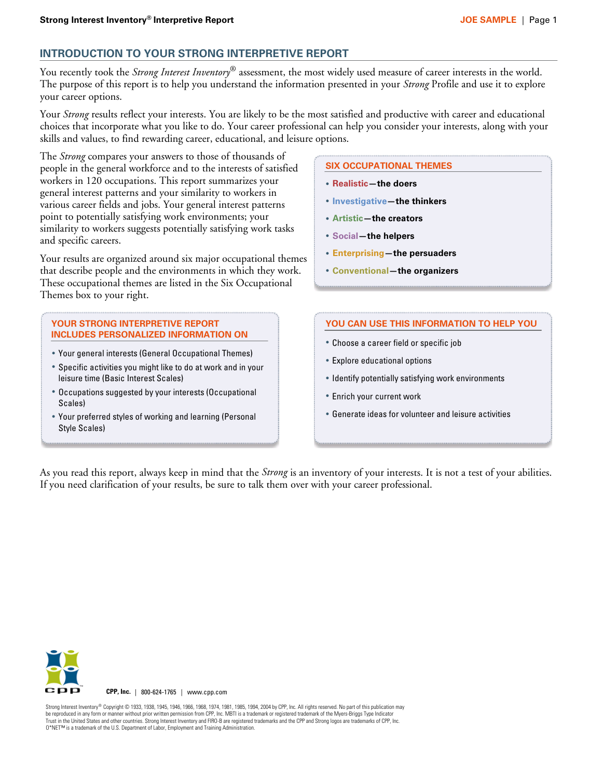## **INTRODUCTION TO YOUR STRONG INTERPRETIVE REPORT**

You recently took the *Strong Interest Inventory*® assessment, the most widely used measure of career interests in the world. The purpose of this report is to help you understand the information presented in your *Strong* Profile and use it to explore your career options.

Your *Strong* results reflect your interests. You are likely to be the most satisfied and productive with career and educational choices that incorporate what you like to do. Your career professional can help you consider your interests, along with your skills and values, to find rewarding career, educational, and leisure options.

The *Strong* compares your answers to those of thousands of people in the general workforce and to the interests of satisfied workers in 120 occupations. This report summarizes your general interest patterns and your similarity to workers in various career fields and jobs. Your general interest patterns point to potentially satisfying work environments; your similarity to workers suggests potentially satisfying work tasks and specific careers.

Your results are organized around six major occupational themes that describe people and the environments in which they work. These occupational themes are listed in the Six Occupational Themes box to your right.

#### **YOUR STRONG INTERPRETIVE REPORT INCLUDES PERSONALIZED INFORMATION ON**

- **·** Your general interests (General Occupational Themes)
- **·** Specific activities you might like to do at work and in your leisure time (Basic Interest Scales)
- **·** Occupations suggested by your interests (Occupational Scales)
- **·** Your preferred styles of working and learning (Personal Style Scales)

#### **SIX OCCUPATIONAL THEMES**

- **· Realistic—the doers**
- **· Investigative—the thinkers**
- **· Artistic—the creators**
- **· Social—the helpers**
- **· Enterprising—the persuaders**
- **· Conventional—the organizers**

#### **YOU CAN USE THIS INFORMATION TO HELP YOU**

- **·** Choose a career field or specific job
- **·** Explore educational options
- **·** Identify potentially satisfying work environments
- **·** Enrich your current work
- **·** Generate ideas for volunteer and leisure activities

As you read this report, always keep in mind that the *Strong* is an inventory of your interests. It is not a test of your abilities. If you need clarification of your results, be sure to talk them over with your career professional.



**CPP, Inc.** | 800-624-1765 | www.cpp.com

Strong Interest Inventory® Copyright © 1933, 1938, 1945, 1946, 1966, 1968, 1974, 1981, 1985, 1994, 2004 by CPP, Inc. All rights reserved. No part of this publication may be reproduced in any form or manner without prior written permission from CPP, Inc. MBTI is a trademark or registered trademark of the Myers-Briggs Type Indicator<br>Trust in the United States and other countries. Strong Inte Trust in the United States and other countries. Strong Interest Inventory and FIRO-B are registered trademarks and the CPP and Strong logos are trader O\*NET™ is a trademark of the U.S. Department of Labor, Employment and Training Administration.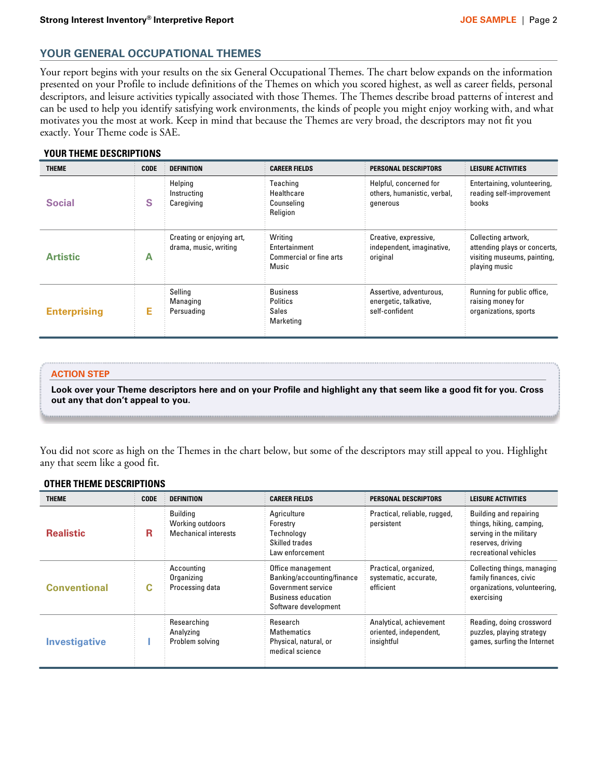## **YOUR GENERAL OCCUPATIONAL THEMES**

Your report begins with your results on the six General Occupational Themes. The chart below expands on the information presented on your Profile to include definitions of the Themes on which you scored highest, as well as career fields, personal descriptors, and leisure activities typically associated with those Themes. The Themes describe broad patterns of interest and can be used to help you identify satisfying work environments, the kinds of people you might enjoy working with, and what motivates you the most at work. Keep in mind that because the Themes are very broad, the descriptors may not fit you exactly. Your Theme code is SAE.

## **YOUR THEME DESCRIPTIONS**

| <b>THEME</b>        | <b>CODE</b> | <b>DEFINITION</b>                                  | <b>CAREER FIELDS</b>                                         | PERSONAL DESCRIPTORS                                               | <b>LEISURE ACTIVITIES</b>                                                                           |
|---------------------|-------------|----------------------------------------------------|--------------------------------------------------------------|--------------------------------------------------------------------|-----------------------------------------------------------------------------------------------------|
| <b>Social</b>       | S           | Helping<br>Instructing<br>Caregiving               | Teaching<br>Healthcare<br>Counseling<br>Religion             | Helpful, concerned for<br>others, humanistic, verbal,<br>generous  | Entertaining, volunteering,<br>reading self-improvement<br>books                                    |
| <b>Artistic</b>     | A           | Creating or enjoying art,<br>drama, music, writing | Writing<br>Entertainment<br>Commercial or fine arts<br>Music | Creative, expressive,<br>independent, imaginative,<br>original     | Collecting artwork,<br>attending plays or concerts,<br>visiting museums, painting,<br>playing music |
| <b>Enterprising</b> | E.          | Selling<br>Managing<br>Persuading                  | <b>Business</b><br><b>Politics</b><br>Sales<br>Marketing     | Assertive, adventurous,<br>energetic, talkative,<br>self-confident | Running for public office,<br>raising money for<br>organizations, sports                            |

#### **ACTION STEP**

**Look over your Theme descriptors here and on your Profile and highlight any that seem like a good fit for you. Cross out any that don't appeal to you.** 

You did not score as high on the Themes in the chart below, but some of the descriptors may still appeal to you. Highlight any that seem like a good fit.

#### **OTHER THEME DESCRIPTIONS**

| <b>THEME</b>         | <b>CODE</b> | <b>DEFINITION</b>                                           | <b>CAREER FIELDS</b>                                                                                                       | PERSONAL DESCRIPTORS                                            | <b>LEISURE ACTIVITIES</b>                                                                                                   |
|----------------------|-------------|-------------------------------------------------------------|----------------------------------------------------------------------------------------------------------------------------|-----------------------------------------------------------------|-----------------------------------------------------------------------------------------------------------------------------|
| <b>Realistic</b>     | R.          | <b>Building</b><br>Working outdoors<br>Mechanical interests | Agriculture<br>Forestry<br>Technology<br>Skilled trades<br>Law enforcement                                                 | Practical, reliable, rugged,<br>persistent                      | Building and repairing<br>things, hiking, camping,<br>serving in the military<br>reserves, driving<br>recreational vehicles |
| <b>Conventional</b>  | C           | Accounting<br>Organizing<br>Processing data                 | Office management<br>Banking/accounting/finance<br>Government service<br><b>Business education</b><br>Software development | Practical, organized,<br>systematic, accurate,<br>efficient     | Collecting things, managing<br>family finances, civic<br>organizations, volunteering,<br>exercising                         |
| <b>Investigative</b> |             | Researching<br>Analyzing<br>Problem solving                 | Research<br><b>Mathematics</b><br>Physical, natural, or<br>medical science                                                 | Analytical, achievement<br>oriented, independent,<br>insightful | Reading, doing crossword<br>puzzles, playing strategy<br>games, surfing the Internet                                        |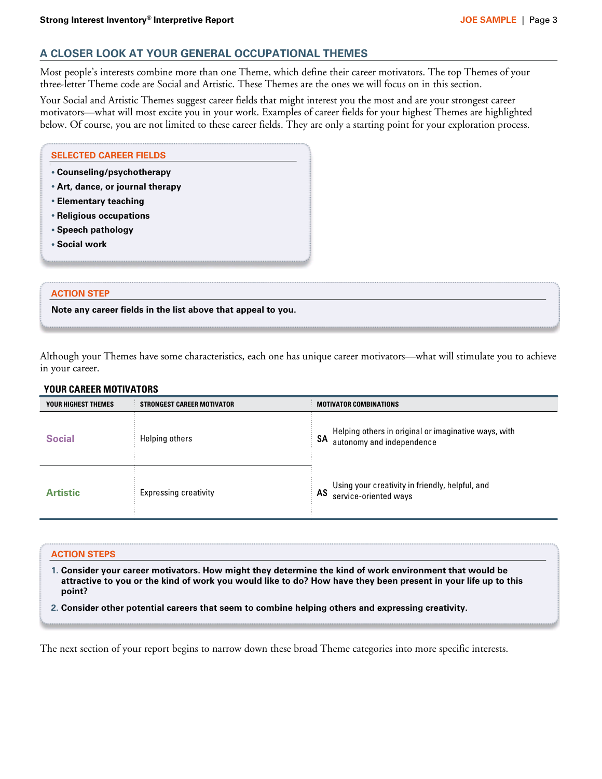## **A CLOSER LOOK AT YOUR GENERAL OCCUPATIONAL THEMES**

Most people's interests combine more than one Theme, which define their career motivators. The top Themes of your three-letter Theme code are Social and Artistic. These Themes are the ones we will focus on in this section.

Your Social and Artistic Themes suggest career fields that might interest you the most and are your strongest career motivators—what will most excite you in your work. Examples of career fields for your highest Themes are highlighted below. Of course, you are not limited to these career fields. They are only a starting point for your exploration process.

| • Counseling/psychotherapy       |  |  |
|----------------------------------|--|--|
| • Art, dance, or journal therapy |  |  |
| • Elementary teaching            |  |  |
| • Religious occupations          |  |  |
| • Speech pathology               |  |  |
| • Social work                    |  |  |

### **ACTION STEP**

**Note any career fields in the list above that appeal to you.** 

Although your Themes have some characteristics, each one has unique career motivators—what will stimulate you to achieve in your career.

| YOUR HIGHEST THEMES | <b>STRONGEST CAREER MOTIVATOR</b> | <b>MOTIVATOR COMBINATIONS</b>                                                           |
|---------------------|-----------------------------------|-----------------------------------------------------------------------------------------|
| <b>Social</b>       | Helping others                    | SA Helping others in original or imaginative ways, with<br>SA autonomy and independence |
| <b>Artistic</b>     | <b>Expressing creativity</b>      | Using your creativity in friendly, helpful, and<br>AS service-oriented ways             |

**.**

### **YOUR CAREER MOTIVATORS**

#### **ACTION STEPS**

**.**

**1. Consider your career motivators. How might they determine the kind of work environment that would be attractive to you or the kind of work you would like to do? How have they been present in your life up to this point?** 

**2. Consider other potential careers that seem to combine helping others and expressing creativity.**

The next section of your report begins to narrow down these broad Theme categories into more specific interests.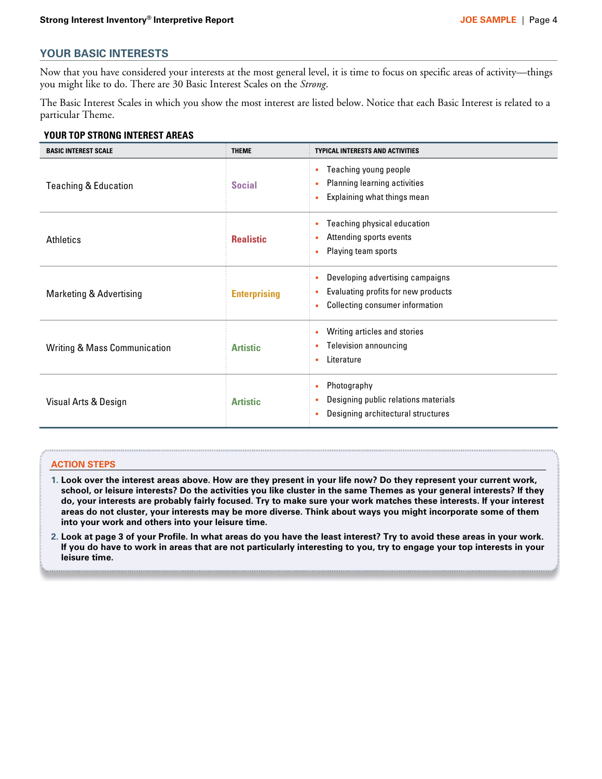## **YOUR BASIC INTERESTS**

Now that you have considered your interests at the most general level, it is time to focus on specific areas of activity—things you might like to do. There are 30 Basic Interest Scales on the *Strong*.

The Basic Interest Scales in which you show the most interest are listed below. Notice that each Basic Interest is related to a particular Theme.

#### **YOUR TOP STRONG INTEREST AREAS**

| <b>BASIC INTEREST SCALE</b>             | <b>THEME</b>        | <b>TYPICAL INTERESTS AND ACTIVITIES</b>                                                                    |
|-----------------------------------------|---------------------|------------------------------------------------------------------------------------------------------------|
| <b>Teaching &amp; Education</b>         | <b>Social</b>       | Teaching young people<br>Planning learning activities<br>Explaining what things mean                       |
| Athletics                               | <b>Realistic</b>    | Teaching physical education<br>Attending sports events<br>Playing team sports                              |
| Marketing & Advertising                 | <b>Enterprising</b> | Developing advertising campaigns<br>Evaluating profits for new products<br>Collecting consumer information |
| <b>Writing &amp; Mass Communication</b> | <b>Artistic</b>     | Writing articles and stories<br><b>Television announcing</b><br>Literature                                 |
| Visual Arts & Design                    | <b>Artistic</b>     | Photography<br>Designing public relations materials<br>Designing architectural structures                  |

#### **ACTION STEPS**

- **1. Look over the interest areas above. How are they present in your life now? Do they represent your current work, school, or leisure interests? Do the activities you like cluster in the same Themes as your general interests? If they do, your interests are probably fairly focused. Try to make sure your work matches these interests. If your interest areas do not cluster, your interests may be more diverse. Think about ways you might incorporate some of them into your work and others into your leisure time.**
- **2. Look at page 3 of your Profile. In what areas do you have the least interest? Try to avoid these areas in your work. If you do have to work in areas that are not particularly interesting to you, try to engage your top interests in your leisure time.**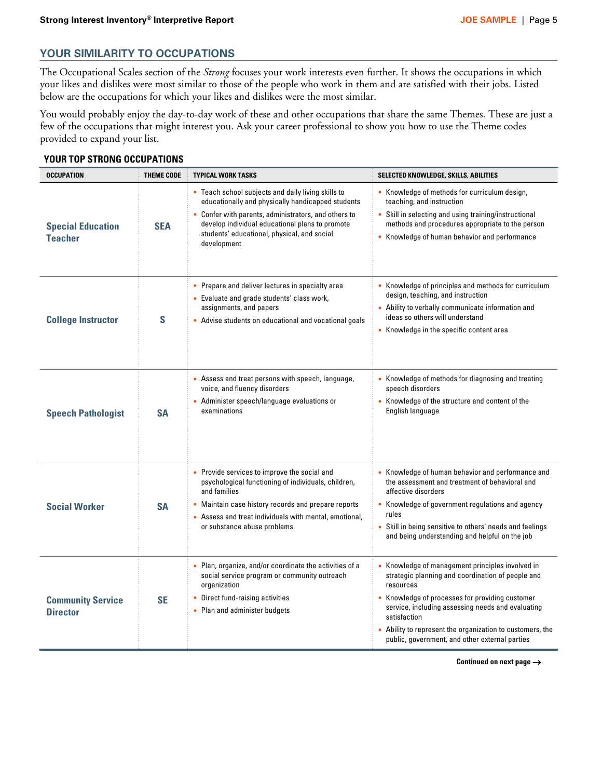## **YOUR SIMILARITY TO OCCUPATIONS**

The Occupational Scales section of the *Strong* focuses your work interests even further. It shows the occupations in which your likes and dislikes were most similar to those of the people who work in them and are satisfied with their jobs. Listed below are the occupations for which your likes and dislikes were the most similar.

You would probably enjoy the day-to-day work of these and other occupations that share the same Themes. These are just a few of the occupations that might interest you. Ask your career professional to show you how to use the Theme codes provided to expand your list.

### **YOUR TOP STRONG OCCUPATIONS**

| <b>OCCUPATION</b>                           | <b>THEME CODE</b> | <b>TYPICAL WORK TASKS</b>                                                                                                                                                                                                                                                        | SELECTED KNOWLEDGE, SKILLS, ABILITIES                                                                                                                                                                                                                                                                                                                 |
|---------------------------------------------|-------------------|----------------------------------------------------------------------------------------------------------------------------------------------------------------------------------------------------------------------------------------------------------------------------------|-------------------------------------------------------------------------------------------------------------------------------------------------------------------------------------------------------------------------------------------------------------------------------------------------------------------------------------------------------|
| <b>Special Education</b><br><b>Teacher</b>  | <b>SEA</b>        | • Teach school subjects and daily living skills to<br>educationally and physically handicapped students<br>• Confer with parents, administrators, and others to<br>develop individual educational plans to promote<br>students' educational, physical, and social<br>development | • Knowledge of methods for curriculum design,<br>teaching, and instruction<br>• Skill in selecting and using training/instructional<br>methods and procedures appropriate to the person<br>• Knowledge of human behavior and performance                                                                                                              |
| <b>College Instructor</b>                   | S                 | • Prepare and deliver lectures in specialty area<br>• Evaluate and grade students' class work,<br>assignments, and papers<br>• Advise students on educational and vocational goals                                                                                               | • Knowledge of principles and methods for curriculum<br>design, teaching, and instruction<br>• Ability to verbally communicate information and<br>ideas so others will understand<br>• Knowledge in the specific content area                                                                                                                         |
| <b>Speech Pathologist</b>                   | <b>SA</b>         | • Assess and treat persons with speech, language,<br>voice, and fluency disorders<br>Administer speech/language evaluations or<br>examinations                                                                                                                                   | • Knowledge of methods for diagnosing and treating<br>speech disorders<br>Knowledge of the structure and content of the<br>English language                                                                                                                                                                                                           |
| <b>Social Worker</b>                        | <b>SA</b>         | • Provide services to improve the social and<br>psychological functioning of individuals, children,<br>and families<br>• Maintain case history records and prepare reports<br>• Assess and treat individuals with mental, emotional,<br>or substance abuse problems              | • Knowledge of human behavior and performance and<br>the assessment and treatment of behavioral and<br>affective disorders<br>• Knowledge of government regulations and agency<br>rules<br>Skill in being sensitive to others' needs and feelings<br>and being understanding and helpful on the job                                                   |
| <b>Community Service</b><br><b>Director</b> | <b>SE</b>         | • Plan, organize, and/or coordinate the activities of a<br>social service program or community outreach<br>organization<br>• Direct fund-raising activities<br>• Plan and administer budgets                                                                                     | • Knowledge of management principles involved in<br>strategic planning and coordination of people and<br>resources<br>Knowledge of processes for providing customer<br>service, including assessing needs and evaluating<br>satisfaction<br>Ability to represent the organization to customers, the<br>public, government, and other external parties |

**Continued on next page** -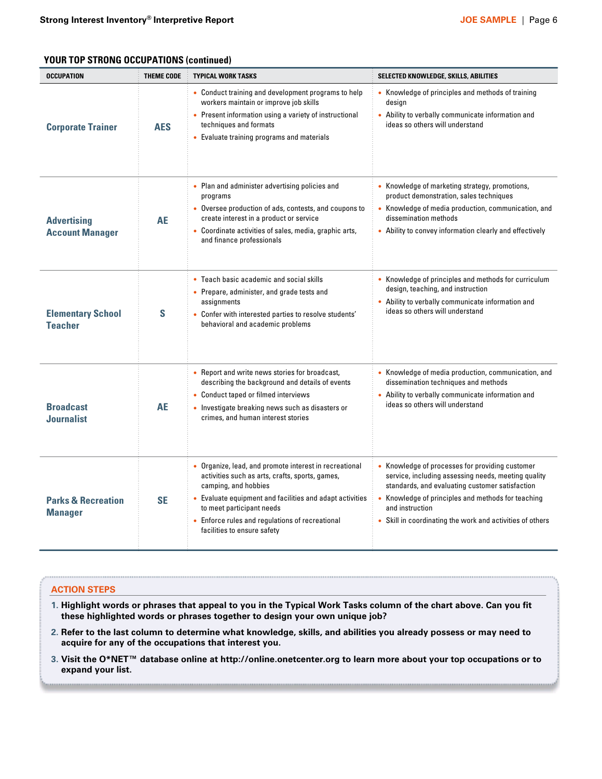## **YOUR TOP STRONG OCCUPATIONS (continued)**

| <b>OCCUPATION</b>                               | <b>THEME CODE</b> | <b>TYPICAL WORK TASKS</b>                                                                                                                                                                                                                                                                                  | SELECTED KNOWLEDGE, SKILLS, ABILITIES                                                                                                                                                                                                                                                       |
|-------------------------------------------------|-------------------|------------------------------------------------------------------------------------------------------------------------------------------------------------------------------------------------------------------------------------------------------------------------------------------------------------|---------------------------------------------------------------------------------------------------------------------------------------------------------------------------------------------------------------------------------------------------------------------------------------------|
| <b>Corporate Trainer</b>                        | <b>AES</b>        | • Conduct training and development programs to help<br>workers maintain or improve job skills<br>• Present information using a variety of instructional<br>techniques and formats<br>• Evaluate training programs and materials                                                                            | • Knowledge of principles and methods of training<br>design<br>• Ability to verbally communicate information and<br>ideas so others will understand                                                                                                                                         |
| <b>Advertising</b><br><b>Account Manager</b>    | <b>AE</b>         | • Plan and administer advertising policies and<br>programs<br>• Oversee production of ads, contests, and coupons to<br>create interest in a product or service<br>• Coordinate activities of sales, media, graphic arts,<br>and finance professionals                                                      | • Knowledge of marketing strategy, promotions,<br>product demonstration, sales techniques<br>• Knowledge of media production, communication, and<br>dissemination methods<br>• Ability to convey information clearly and effectively                                                        |
| <b>Elementary School</b><br><b>Teacher</b>      | S                 | • Teach basic academic and social skills<br>• Prepare, administer, and grade tests and<br>assignments<br>• Confer with interested parties to resolve students'<br>behavioral and academic problems                                                                                                         | • Knowledge of principles and methods for curriculum<br>design, teaching, and instruction<br>• Ability to verbally communicate information and<br>ideas so others will understand                                                                                                           |
| <b>Broadcast</b><br><b>Journalist</b>           | AE                | • Report and write news stories for broadcast,<br>describing the background and details of events<br>• Conduct taped or filmed interviews<br>• Investigate breaking news such as disasters or<br>crimes, and human interest stories                                                                        | • Knowledge of media production, communication, and<br>dissemination techniques and methods<br>• Ability to verbally communicate information and<br>ideas so others will understand                                                                                                         |
| <b>Parks &amp; Recreation</b><br><b>Manager</b> | <b>SE</b>         | Organize, lead, and promote interest in recreational<br>activities such as arts, crafts, sports, games,<br>camping, and hobbies<br>• Evaluate equipment and facilities and adapt activities<br>to meet participant needs<br>• Enforce rules and regulations of recreational<br>facilities to ensure safety | Knowledge of processes for providing customer<br>service, including assessing needs, meeting quality<br>standards, and evaluating customer satisfaction<br>Knowledge of principles and methods for teaching<br>and instruction<br>• Skill in coordinating the work and activities of others |

### **ACTION STEPS**

- **1. Highlight words or phrases that appeal to you in the Typical Work Tasks column of the chart above. Can you fit these highlighted words or phrases together to design your own unique job?**
- **2. Refer to the last column to determine what knowledge, skills, and abilities you already possess or may need to acquire for any of the occupations that interest you.**
- **3. Visit the O\*NET™ database online at http://online.onetcenter.org to learn more about your top occupations or to expand your list.**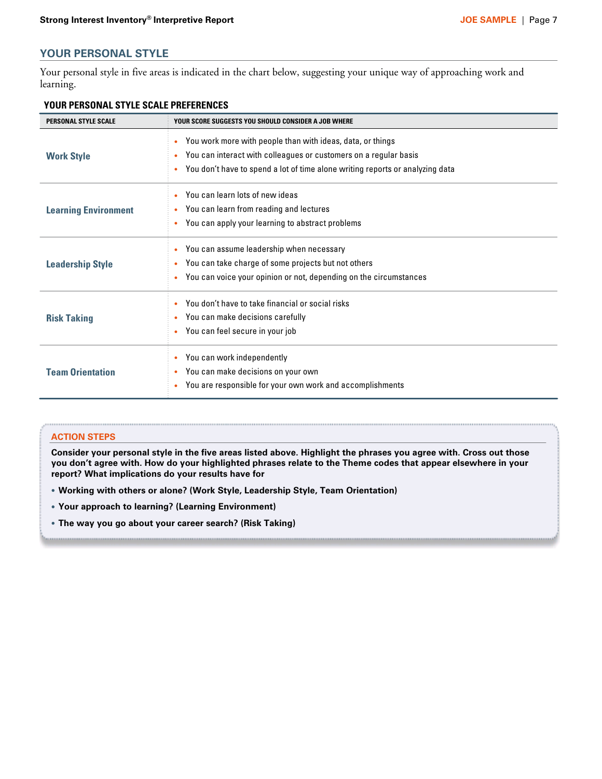## **YOUR PERSONAL STYLE**

Your personal style in five areas is indicated in the chart below, suggesting your unique way of approaching work and learning.

| <b>PERSONAL STYLE SCALE</b> | YOUR SCORE SUGGESTS YOU SHOULD CONSIDER A JOB WHERE                                                                                                                                                                                                    |  |
|-----------------------------|--------------------------------------------------------------------------------------------------------------------------------------------------------------------------------------------------------------------------------------------------------|--|
| <b>Work Style</b>           | You work more with people than with ideas, data, or things<br>$\bullet$<br>You can interact with colleagues or customers on a regular basis<br>$\bullet$<br>You don't have to spend a lot of time alone writing reports or analyzing data<br>$\bullet$ |  |
| <b>Learning Environment</b> | You can learn lots of new ideas<br>٠<br>You can learn from reading and lectures<br>$\bullet$<br>You can apply your learning to abstract problems<br>$\bullet$                                                                                          |  |
| <b>Leadership Style</b>     | You can assume leadership when necessary<br>$\bullet$<br>You can take charge of some projects but not others<br>You can voice your opinion or not, depending on the circumstances<br>۰                                                                 |  |
| <b>Risk Taking</b>          | You don't have to take financial or social risks<br>You can make decisions carefully<br>You can feel secure in your job<br>$\bullet$                                                                                                                   |  |
| <b>Team Orientation</b>     | You can work independently<br>٠<br>You can make decisions on your own<br>$\bullet$<br>You are responsible for your own work and accomplishments<br>۰                                                                                                   |  |

#### **YOUR PERSONAL STYLE SCALE PREFERENCES**

#### **ACTION STEPS**

**Consider your personal style in the five areas listed above. Highlight the phrases you agree with. Cross out those you don't agree with. How do your highlighted phrases relate to the Theme codes that appear elsewhere in your report? What implications do your results have for**

- **· Working with others or alone? (Work Style, Leadership Style, Team Orientation)**
- **· Your approach to learning? (Learning Environment)**
- **· The way you go about your career search? (Risk Taking)**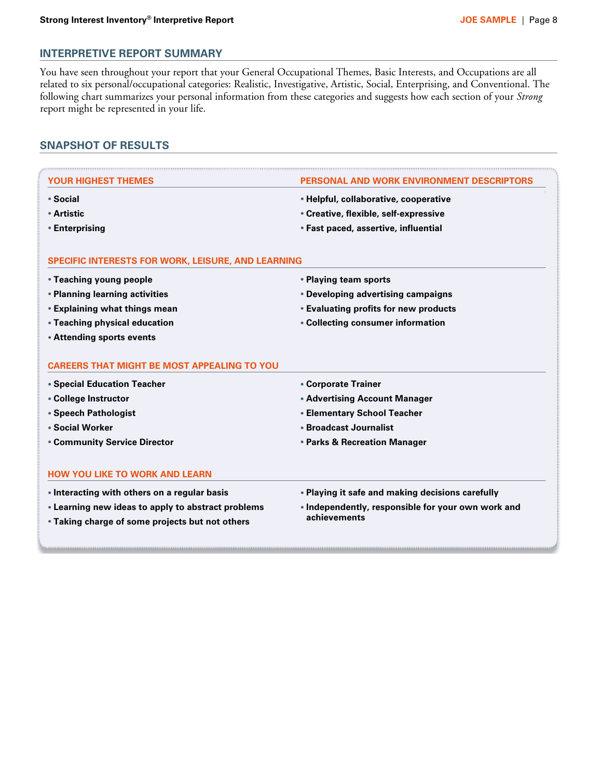## **INTERPRETIVE REPORT SUMMARY**

You have seen throughout your report that your General Occupational Themes, Basic Interests, and Occupations are all related to six personal/occupational categories: Realistic, Investigative, Artistic, Social, Enterprising, and Conventional. The following chart summarizes your personal information from these categories and suggests how each section of your *Strong* report might be represented in your life.

## **SNAPSHOT OF RESULTS**

| YOUR HIGHEST THEMES                                       | PERSONAL AND WORK ENVIRONM                                         |
|-----------------------------------------------------------|--------------------------------------------------------------------|
| • Social                                                  | • Helpful, collaborative, cooperative                              |
| • Artistic                                                | • Creative, flexible, self-expressive                              |
| • Enterprising                                            | • Fast paced, assertive, influential                               |
| <b>SPECIFIC INTERESTS FOR WORK, LEISURE, AND LEARNING</b> |                                                                    |
| • Teaching young people                                   | • Playing team sports                                              |
| • Planning learning activities                            | • Developing advertising campaigns                                 |
| • Explaining what things mean                             | <b>Evaluating profits for new products</b>                         |
| • Teaching physical education                             | • Collecting consumer information                                  |
| • Attending sports events                                 |                                                                    |
| <b>CAREERS THAT MIGHT BE MOST APPEALING TO YOU</b>        |                                                                    |
| • Special Education Teacher                               | • Corporate Trainer                                                |
| • College Instructor                                      | • Advertising Account Manager                                      |
| • Speech Pathologist                                      | <b>• Elementary School Teacher</b>                                 |
| <b>• Social Worker</b>                                    | • Broadcast Journalist                                             |
| <b>• Community Service Director</b>                       | • Parks & Recreation Manager                                       |
| <b>HOW YOU LIKE TO WORK AND LEARN</b>                     |                                                                    |
| • Interacting with others on a regular basis              | • Playing it safe and making decisions carefully                   |
| • Learning new ideas to apply to abstract problems        | • Independently, responsible for your own work and<br>achievements |